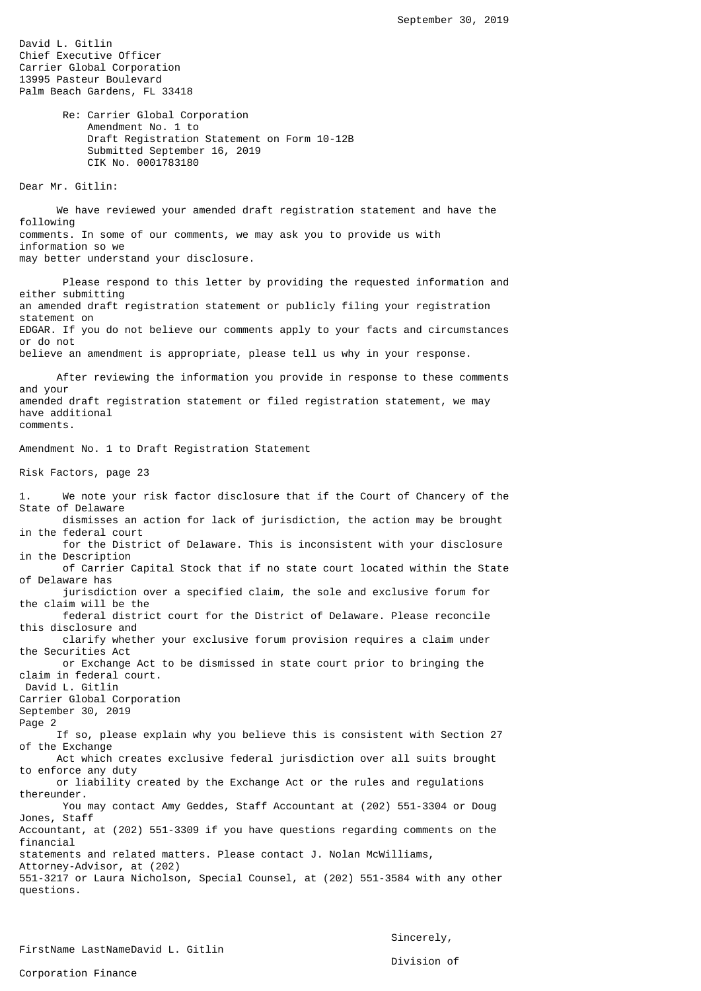David L. Gitlin Chief Executive Officer Carrier Global Corporation 13995 Pasteur Boulevard Palm Beach Gardens, FL 33418

> Re: Carrier Global Corporation Amendment No. 1 to Draft Registration Statement on Form 10-12B Submitted September 16, 2019 CIK No. 0001783180

Dear Mr. Gitlin:

 We have reviewed your amended draft registration statement and have the following comments. In some of our comments, we may ask you to provide us with information so we may better understand your disclosure.

 Please respond to this letter by providing the requested information and either submitting an amended draft registration statement or publicly filing your registration statement on EDGAR. If you do not believe our comments apply to your facts and circumstances or do not believe an amendment is appropriate, please tell us why in your response.

 After reviewing the information you provide in response to these comments and your amended draft registration statement or filed registration statement, we may have additional comments.

Amendment No. 1 to Draft Registration Statement

Risk Factors, page 23

1. We note your risk factor disclosure that if the Court of Chancery of the State of Delaware dismisses an action for lack of jurisdiction, the action may be brought in the federal court for the District of Delaware. This is inconsistent with your disclosure in the Description of Carrier Capital Stock that if no state court located within the State of Delaware has jurisdiction over a specified claim, the sole and exclusive forum for the claim will be the federal district court for the District of Delaware. Please reconcile this disclosure and clarify whether your exclusive forum provision requires a claim under the Securities Act or Exchange Act to be dismissed in state court prior to bringing the claim in federal court. David L. Gitlin Carrier Global Corporation September 30, 2019 Page 2 If so, please explain why you believe this is consistent with Section 27 of the Exchange Act which creates exclusive federal jurisdiction over all suits brought to enforce any duty or liability created by the Exchange Act or the rules and regulations thereunder. You may contact Amy Geddes, Staff Accountant at (202) 551-3304 or Doug Jones, Staff Accountant, at (202) 551-3309 if you have questions regarding comments on the financial statements and related matters. Please contact J. Nolan McWilliams, Attorney-Advisor, at (202) 551-3217 or Laura Nicholson, Special Counsel, at (202) 551-3584 with any other questions.

Sincerely,